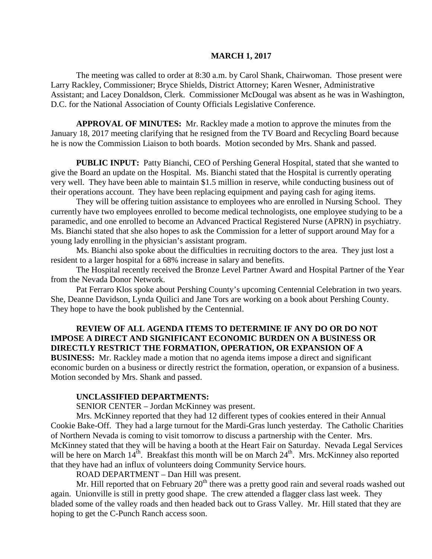#### **MARCH 1, 2017**

The meeting was called to order at 8:30 a.m. by Carol Shank, Chairwoman. Those present were Larry Rackley, Commissioner; Bryce Shields, District Attorney; Karen Wesner, Administrative Assistant; and Lacey Donaldson, Clerk. Commissioner McDougal was absent as he was in Washington, D.C. for the National Association of County Officials Legislative Conference.

**APPROVAL OF MINUTES:** Mr. Rackley made a motion to approve the minutes from the January 18, 2017 meeting clarifying that he resigned from the TV Board and Recycling Board because he is now the Commission Liaison to both boards. Motion seconded by Mrs. Shank and passed.

 **PUBLIC INPUT:** Patty Bianchi, CEO of Pershing General Hospital, stated that she wanted to give the Board an update on the Hospital. Ms. Bianchi stated that the Hospital is currently operating very well. They have been able to maintain \$1.5 million in reserve, while conducting business out of their operations account. They have been replacing equipment and paying cash for aging items.

They will be offering tuition assistance to employees who are enrolled in Nursing School. They currently have two employees enrolled to become medical technologists, one employee studying to be a paramedic, and one enrolled to become an Advanced Practical Registered Nurse (APRN) in psychiatry. Ms. Bianchi stated that she also hopes to ask the Commission for a letter of support around May for a young lady enrolling in the physician's assistant program.

Ms. Bianchi also spoke about the difficulties in recruiting doctors to the area. They just lost a resident to a larger hospital for a 68% increase in salary and benefits.

The Hospital recently received the Bronze Level Partner Award and Hospital Partner of the Year from the Nevada Donor Network.

Pat Ferraro Klos spoke about Pershing County's upcoming Centennial Celebration in two years. She, Deanne Davidson, Lynda Quilici and Jane Tors are working on a book about Pershing County. They hope to have the book published by the Centennial.

## **REVIEW OF ALL AGENDA ITEMS TO DETERMINE IF ANY DO OR DO NOT IMPOSE A DIRECT AND SIGNIFICANT ECONOMIC BURDEN ON A BUSINESS OR DIRECTLY RESTRICT THE FORMATION, OPERATION, OR EXPANSION OF A**

**BUSINESS:** Mr. Rackley made a motion that no agenda items impose a direct and significant economic burden on a business or directly restrict the formation, operation, or expansion of a business. Motion seconded by Mrs. Shank and passed.

#### **UNCLASSIFIED DEPARTMENTS:**

SENIOR CENTER – Jordan McKinney was present.

Mrs. McKinney reported that they had 12 different types of cookies entered in their Annual Cookie Bake-Off. They had a large turnout for the Mardi-Gras lunch yesterday. The Catholic Charities of Northern Nevada is coming to visit tomorrow to discuss a partnership with the Center. Mrs. McKinney stated that they will be having a booth at the Heart Fair on Saturday. Nevada Legal Services will be here on March  $14^{th}$ . Breakfast this month will be on March  $24^{th}$ . Mrs. McKinney also reported that they have had an influx of volunteers doing Community Service hours.

ROAD DEPARTMENT – Dan Hill was present.

Mr. Hill reported that on February  $20<sup>th</sup>$  there was a pretty good rain and several roads washed out again. Unionville is still in pretty good shape. The crew attended a flagger class last week. They bladed some of the valley roads and then headed back out to Grass Valley. Mr. Hill stated that they are hoping to get the C-Punch Ranch access soon.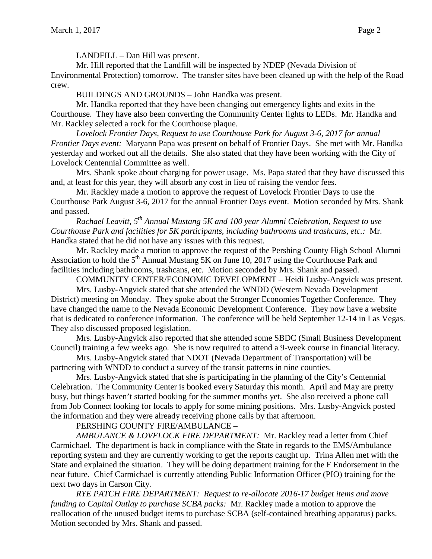LANDFILL – Dan Hill was present.

Mr. Hill reported that the Landfill will be inspected by NDEP (Nevada Division of Environmental Protection) tomorrow. The transfer sites have been cleaned up with the help of the Road crew.

BUILDINGS AND GROUNDS – John Handka was present.

Mr. Handka reported that they have been changing out emergency lights and exits in the Courthouse. They have also been converting the Community Center lights to LEDs. Mr. Handka and Mr. Rackley selected a rock for the Courthouse plaque.

*Lovelock Frontier Days, Request to use Courthouse Park for August 3-6, 2017 for annual Frontier Days event:* Maryann Papa was present on behalf of Frontier Days. She met with Mr. Handka yesterday and worked out all the details. She also stated that they have been working with the City of Lovelock Centennial Committee as well.

Mrs. Shank spoke about charging for power usage. Ms. Papa stated that they have discussed this and, at least for this year, they will absorb any cost in lieu of raising the vendor fees.

Mr. Rackley made a motion to approve the request of Lovelock Frontier Days to use the Courthouse Park August 3-6, 2017 for the annual Frontier Days event. Motion seconded by Mrs. Shank and passed.

*Rachael Leavitt, 5th Annual Mustang 5K and 100 year Alumni Celebration, Request to use Courthouse Park and facilities for 5K participants, including bathrooms and trashcans, etc.:* Mr. Handka stated that he did not have any issues with this request.

Mr. Rackley made a motion to approve the request of the Pershing County High School Alumni Association to hold the  $5<sup>th</sup>$  Annual Mustang 5K on June 10, 2017 using the Courthouse Park and facilities including bathrooms, trashcans, etc. Motion seconded by Mrs. Shank and passed.

COMMUNITY CENTER/ECONOMIC DEVELOPMENT – Heidi Lusby-Angvick was present.

Mrs. Lusby-Angvick stated that she attended the WNDD (Western Nevada Development District) meeting on Monday. They spoke about the Stronger Economies Together Conference. They have changed the name to the Nevada Economic Development Conference. They now have a website that is dedicated to conference information. The conference will be held September 12-14 in Las Vegas. They also discussed proposed legislation.

Mrs. Lusby-Angvick also reported that she attended some SBDC (Small Business Development Council) training a few weeks ago. She is now required to attend a 9-week course in financial literacy.

Mrs. Lusby-Angvick stated that NDOT (Nevada Department of Transportation) will be partnering with WNDD to conduct a survey of the transit patterns in nine counties.

Mrs. Lusby-Angvick stated that she is participating in the planning of the City's Centennial Celebration. The Community Center is booked every Saturday this month. April and May are pretty busy, but things haven't started booking for the summer months yet. She also received a phone call from Job Connect looking for locals to apply for some mining positions. Mrs. Lusby-Angvick posted the information and they were already receiving phone calls by that afternoon.

## PERSHING COUNTY FIRE/AMBULANCE –

*AMBULANCE & LOVELOCK FIRE DEPARTMENT:* Mr. Rackley read a letter from Chief Carmichael. The department is back in compliance with the State in regards to the EMS/Ambulance reporting system and they are currently working to get the reports caught up. Trina Allen met with the State and explained the situation. They will be doing department training for the F Endorsement in the near future. Chief Carmichael is currently attending Public Information Officer (PIO) training for the next two days in Carson City.

*RYE PATCH FIRE DEPARTMENT: Request to re-allocate 2016-17 budget items and move funding to Capital Outlay to purchase SCBA packs:* Mr. Rackley made a motion to approve the reallocation of the unused budget items to purchase SCBA (self-contained breathing apparatus) packs. Motion seconded by Mrs. Shank and passed.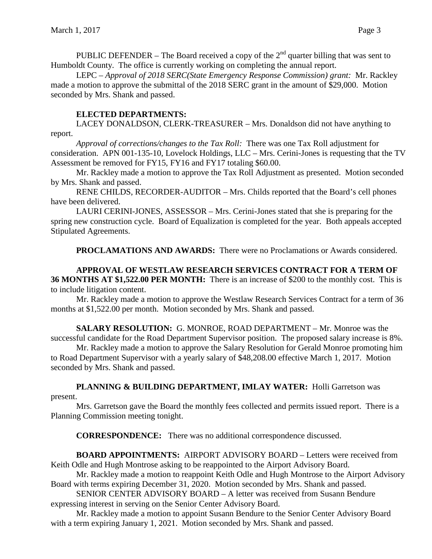PUBLIC DEFENDER – The Board received a copy of the  $2<sup>nd</sup>$  quarter billing that was sent to Humboldt County. The office is currently working on completing the annual report.

LEPC – *Approval of 2018 SERC(State Emergency Response Commission) grant:* Mr. Rackley made a motion to approve the submittal of the 2018 SERC grant in the amount of \$29,000. Motion seconded by Mrs. Shank and passed.

## **ELECTED DEPARTMENTS:**

LACEY DONALDSON, CLERK-TREASURER – Mrs. Donaldson did not have anything to report.

*Approval of corrections/changes to the Tax Roll:* There was one Tax Roll adjustment for consideration. APN 001-135-10, Lovelock Holdings, LLC – Mrs. Cerini-Jones is requesting that the TV Assessment be removed for FY15, FY16 and FY17 totaling \$60.00.

Mr. Rackley made a motion to approve the Tax Roll Adjustment as presented. Motion seconded by Mrs. Shank and passed.

RENE CHILDS, RECORDER-AUDITOR – Mrs. Childs reported that the Board's cell phones have been delivered.

LAURI CERINI-JONES, ASSESSOR – Mrs. Cerini-Jones stated that she is preparing for the spring new construction cycle. Board of Equalization is completed for the year. Both appeals accepted Stipulated Agreements.

**PROCLAMATIONS AND AWARDS:** There were no Proclamations or Awards considered.

### **APPROVAL OF WESTLAW RESEARCH SERVICES CONTRACT FOR A TERM OF 36 MONTHS AT \$1,522.00 PER MONTH:** There is an increase of \$200 to the monthly cost. This is to include litigation content.

Mr. Rackley made a motion to approve the Westlaw Research Services Contract for a term of 36 months at \$1,522.00 per month. Motion seconded by Mrs. Shank and passed.

**SALARY RESOLUTION:** G. MONROE, ROAD DEPARTMENT – Mr. Monroe was the successful candidate for the Road Department Supervisor position. The proposed salary increase is 8%.

Mr. Rackley made a motion to approve the Salary Resolution for Gerald Monroe promoting him to Road Department Supervisor with a yearly salary of \$48,208.00 effective March 1, 2017. Motion seconded by Mrs. Shank and passed.

# **PLANNING & BUILDING DEPARTMENT, IMLAY WATER:** Holli Garretson was

## present.

Mrs. Garretson gave the Board the monthly fees collected and permits issued report. There is a Planning Commission meeting tonight.

**CORRESPONDENCE:** There was no additional correspondence discussed.

**BOARD APPOINTMENTS:** AIRPORT ADVISORY BOARD – Letters were received from Keith Odle and Hugh Montrose asking to be reappointed to the Airport Advisory Board.

Mr. Rackley made a motion to reappoint Keith Odle and Hugh Montrose to the Airport Advisory Board with terms expiring December 31, 2020. Motion seconded by Mrs. Shank and passed.

SENIOR CENTER ADVISORY BOARD – A letter was received from Susann Bendure expressing interest in serving on the Senior Center Advisory Board.

Mr. Rackley made a motion to appoint Susann Bendure to the Senior Center Advisory Board with a term expiring January 1, 2021. Motion seconded by Mrs. Shank and passed.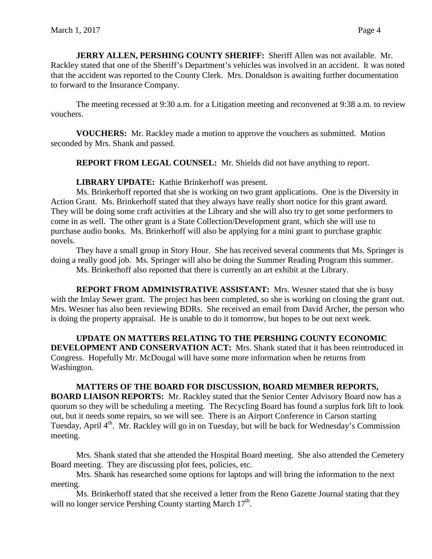**JERRY ALLEN, PERSHING COUNTY SHERIFF:** Sheriff Allen was not available. Mr. Rackley stated that one of the Sheriff's Department's vehicles was involved in an accident. It was noted that the accident was reported to the County Clerk. Mrs. Donaldson is awaiting further documentation to forward to the Insurance Company.

The meeting recessed at 9:30 a.m. for a Litigation meeting and reconvened at 9:38 a.m. to review vouchers.

**VOUCHERS:** Mr. Rackley made a motion to approve the vouchers as submitted. Motion seconded by Mrs. Shank and passed.

**REPORT FROM LEGAL COUNSEL:** Mr. Shields did not have anything to report.

**LIBRARY UPDATE:** Kathie Brinkerhoff was present.

Ms. Brinkerhoff reported that she is working on two grant applications. One is the Diversity in Action Grant. Ms. Brinkerhoff stated that they always have really short notice for this grant award. They will be doing some craft activities at the Library and she will also try to get some performers to come in as well. The other grant is a State Collection/Development grant, which she will use to purchase audio books. Ms. Brinkerhoff will also be applying for a mini grant to purchase graphic novels.

They have a small group in Story Hour. She has received several comments that Ms. Springer is doing a really good job. Ms. Springer will also be doing the Summer Reading Program this summer.

Ms. Brinkerhoff also reported that there is currently an art exhibit at the Library.

**REPORT FROM ADMINISTRATIVE ASSISTANT:** Mrs. Wesner stated that she is busy with the Imlay Sewer grant. The project has been completed, so she is working on closing the grant out. Mrs. Wesner has also been reviewing BDRs. She received an email from David Archer, the person who is doing the property appraisal. He is unable to do it tomorrow, but hopes to be out next week.

**UPDATE ON MATTERS RELATING TO THE PERSHING COUNTY ECONOMIC DEVELOPMENT AND CONSERVATION ACT:** Mrs. Shank stated that it has been reintroduced in Congress. Hopefully Mr. McDougal will have some more information when he returns from Washington.

**MATTERS OF THE BOARD FOR DISCUSSION, BOARD MEMBER REPORTS, BOARD LIAISON REPORTS:** Mr. Rackley stated that the Senior Center Advisory Board now has a quorum so they will be scheduling a meeting. The Recycling Board has found a surplus fork lift to look out, but it needs some repairs, so we will see. There is an Airport Conference in Carson starting Tuesday, April 4<sup>th</sup>. Mr. Rackley will go in on Tuesday, but will be back for Wednesday's Commission meeting.

Mrs. Shank stated that she attended the Hospital Board meeting. She also attended the Cemetery Board meeting. They are discussing plot fees, policies, etc.

Mrs. Shank has researched some options for laptops and will bring the information to the next meeting.

Ms. Brinkerhoff stated that she received a letter from the Reno Gazette Journal stating that they will no longer service Pershing County starting March  $17<sup>th</sup>$ .